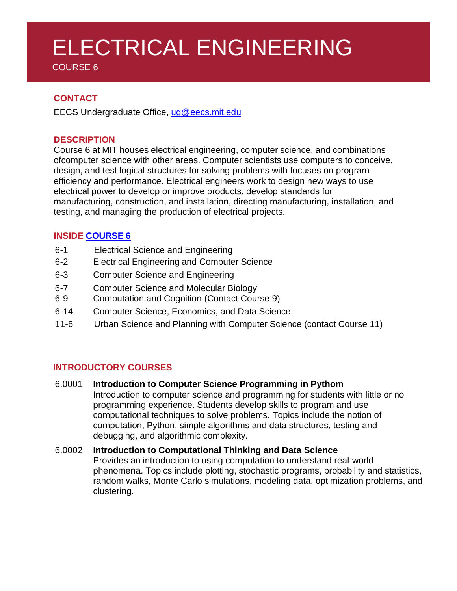# ELECTRICAL ENGINEERING

COURSE 6

## **CONTACT**

EECS Undergraduate Office, [ug@eecs.mit.edu](mailto:ug@eecs.mit.edu)

#### **DESCRIPTION**

Course 6 at MIT houses electrical engineering, computer science, and combinations ofcomputer science with other areas. Computer scientists use computers to conceive, design, and test logical structures for solving problems with focuses on program efficiency and performance. Electrical engineers work to design new ways to use electrical power to develop or improve products, develop standards for manufacturing, construction, and installation, directing manufacturing, installation, and testing, and managing the production of electrical projects.

### **INSIDE [COURSE 6](https://www.eecs.mit.edu/academics/undergraduate-programs/curriculum/)**

- 6-1 Electrical Science and Engineering
- 6-2 Electrical Engineering and Computer Science
- 6-3 Computer Science and Engineering
- 6-7 Computer Science and Molecular Biology
- 6-9 Computation and Cognition (Contact Course 9)
- 6-14 Computer Science, Economics, and Data Science
- 11-6 Urban Science and Planning with Computer Science (contact Course 11)

### **INTRODUCTORY COURSES**

### 6.0001 **Introduction to Computer Science Programming in Pythom**

Introduction to computer science and programming for students with little or no programming experience. Students develop skills to program and use computational techniques to solve problems. Topics include the notion of computation, Python, simple algorithms and data structures, testing and debugging, and algorithmic complexity.

#### 6.0002 **Introduction to Computational Thinking and Data Science** Provides an introduction to using computation to understand real-world phenomena. Topics include plotting, stochastic programs, probability and statistics, random walks, Monte Carlo simulations, modeling data, optimization problems, and clustering.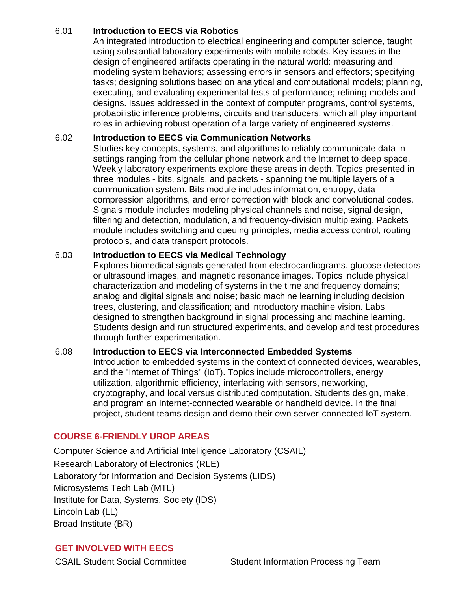### 6.01 **Introduction to EECS via Robotics**

An integrated introduction to electrical engineering and computer science, taught using substantial laboratory experiments with mobile robots. Key issues in the design of engineered artifacts operating in the natural world: measuring and modeling system behaviors; assessing errors in sensors and effectors; specifying tasks; designing solutions based on analytical and computational models; planning, executing, and evaluating experimental tests of performance; refining models and designs. Issues addressed in the context of computer programs, control systems, probabilistic inference problems, circuits and transducers, which all play important roles in achieving robust operation of a large variety of engineered systems.

#### 6.02 **Introduction to EECS via Communication Networks**

Studies key concepts, systems, and algorithms to reliably communicate data in settings ranging from the cellular phone network and the Internet to deep space. Weekly laboratory experiments explore these areas in depth. Topics presented in three modules - bits, signals, and packets - spanning the multiple layers of a communication system. Bits module includes information, entropy, data compression algorithms, and error correction with block and convolutional codes. Signals module includes modeling physical channels and noise, signal design, filtering and detection, modulation, and frequency-division multiplexing. Packets module includes switching and queuing principles, media access control, routing protocols, and data transport protocols.

#### 6.03 **Introduction to EECS via Medical Technology**

Explores biomedical signals generated from electrocardiograms, glucose detectors or ultrasound images, and magnetic resonance images. Topics include physical characterization and modeling of systems in the time and frequency domains; analog and digital signals and noise; basic machine learning including decision trees, clustering, and classification; and introductory machine vision. Labs designed to strengthen background in signal processing and machine learning. Students design and run structured experiments, and develop and test procedures through further experimentation.

#### 6.08 **Introduction to EECS via Interconnected Embedded Systems**

Introduction to embedded systems in the context of connected devices, wearables, and the "Internet of Things" (IoT). Topics include microcontrollers, energy utilization, algorithmic efficiency, interfacing with sensors, networking, cryptography, and local versus distributed computation. Students design, make, and program an Internet-connected wearable or handheld device. In the final project, student teams design and demo their own server-connected IoT system.

### **COURSE 6-FRIENDLY UROP AREAS**

Computer Science and Artificial Intelligence Laboratory (CSAIL) Research Laboratory of Electronics (RLE) Laboratory for Information and Decision Systems (LIDS) Microsystems Tech Lab (MTL) Institute for Data, Systems, Society (IDS) Lincoln Lab (LL) Broad Institute (BR)

# **GET INVOLVED WITH EECS**